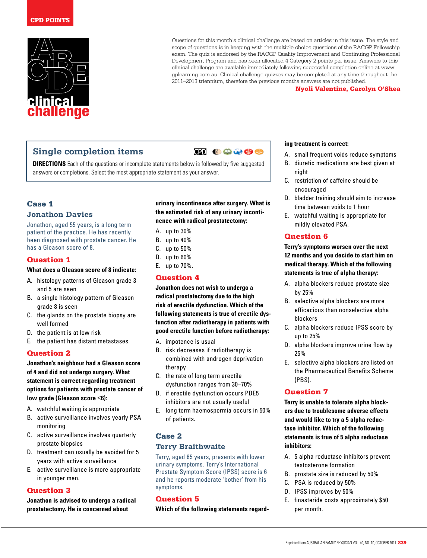

Questions for this month's clinical challenge are based on articles in this issue. The style and scope of questions is in keeping with the multiple choice questions of the RACGP Fellowship exam. The quiz is endorsed by the RACGP Quality Improvement and Continuing Professional Development Program and has been allocated 4 Category 2 points per issue. Answers to this clinical challenge are available immediately following successful completion online at www. gplearning.com.au. Clinical challenge quizzes may be completed at any time throughout the 2011–2013 triennium, therefore the previous months answers are not published.

#### Nyoli Valentine, Carolyn O'Shea

# **Single completion items**

**ED 00000** 

**DIRECTIONS** Each of the questions or incomplete statements below is followed by five suggested answers or completions. Select the most appropriate statement as your answer.

# Case 1 **Jonathon Davies**

Jonathon, aged 55 years, is a long term patient of the practice. He has recently been diagnosed with prostate cancer. He has a Gleason score of 8.

### Question 1

#### **What does a Gleason score of 8 indicate:**

- A. histology patterns of Gleason grade 3 and 5 are seen
- B. a single histology pattern of Gleason grade 8 is seen
- C. the glands on the prostate biopsy are well formed
- D. the patient is at low risk
- E. the patient has distant metastases.

## Question 2

**Jonathon's neighbour had a Gleason score of 4 and did not undergo surgery. What statement is correct regarding treatment options for patients with prostate cancer of low grade (Gleason score ≤6):**

- A. watchful waiting is appropriate
- B. active surveillance involves yearly PSA monitoring
- C. active surveillance involves quarterly prostate biopsies
- D. treatment can usually be avoided for 5 years with active surveillance
- E. active surveillance is more appropriate in younger men.

### Question 3

**Jonathon is advised to undergo a radical prostatectomy. He is concerned about** 

**urinary incontinence after surgery. What is the estimated risk of any urinary incontinence with radical prostatectomy:**

- A. up to 30%
- B. up to 40%
- C. up to 50%
- D. up to 60% E. up to 70%.

#### Question 4

**Jonathon does not wish to undergo a radical prostatectomy due to the high risk of erectile dysfunction. Which of the following statements is true of erectile dysfunction after radiotherapy in patients with good erectile function before radiotherapy:**

- A. impotence is usual
- B. risk decreases if radiotherapy is combined with androgen deprivation therapy
- C. the rate of long term erectile dysfunction ranges from 30–70%
- D. if erectile dysfunction occurs PDE5 inhibitors are not usually useful
- E. long term haemospermia occurs in 50% of patients.

### Case 2

#### **Terry Braithwaite**

Terry, aged 65 years, presents with lower urinary symptoms. Terry's International Prostate Symptom Score (IPSS) score is 6 and he reports moderate 'bother' from his symptoms.

#### Question 5

**Which of the following statements regard-**

#### **ing treatment is correct:**

- A. small frequent voids reduce symptoms
- B. diuretic medications are best given at night
- C. restriction of caffeine should be encouraged
- D. bladder training should aim to increase time between voids to 1 hour
- E. watchful waiting is appropriate for mildly elevated PSA.

## Question 6

**Terry's symptoms worsen over the next 12 months and you decide to start him on medical therapy. Which of the following statements is true of alpha therapy:**

- A. alpha blockers reduce prostate size by 25%
- B. selective alpha blockers are more efficacious than nonselective alpha blockers
- C. alpha blockers reduce IPSS score by up to 25%
- D. alpha blockers improve urine flow by 25%
- E. selective alpha blockers are listed on the Pharmaceutical Benefits Scheme (PBS).

### Question 7

**Terry is unable to tolerate alpha blockers due to troublesome adverse effects and would like to try a 5 alpha reductase inhibitor. Which of the following statements is true of 5 alpha reductase inhibitors:**

- A. 5 alpha reductase inhibitors prevent testosterone formation
- B. prostate size is reduced by 50%
- C. PSA is reduced by 50%
- D. IPSS improves by 50%
- E. finasteride costs approximately \$50 per month.